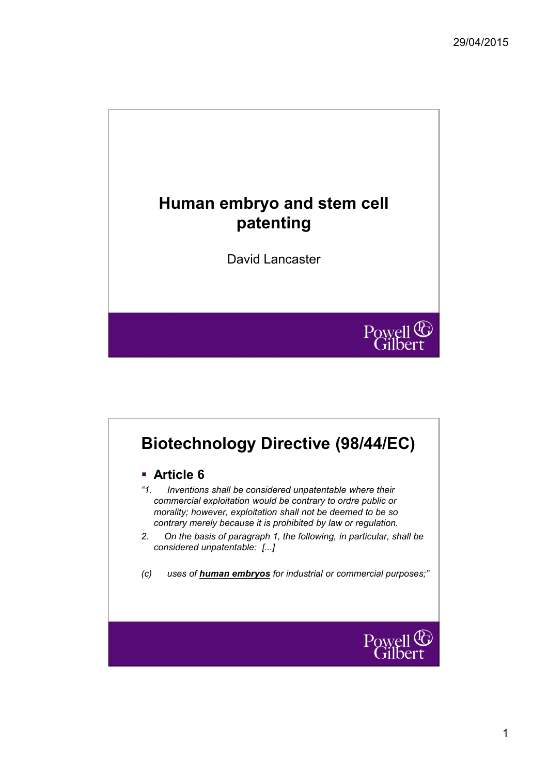

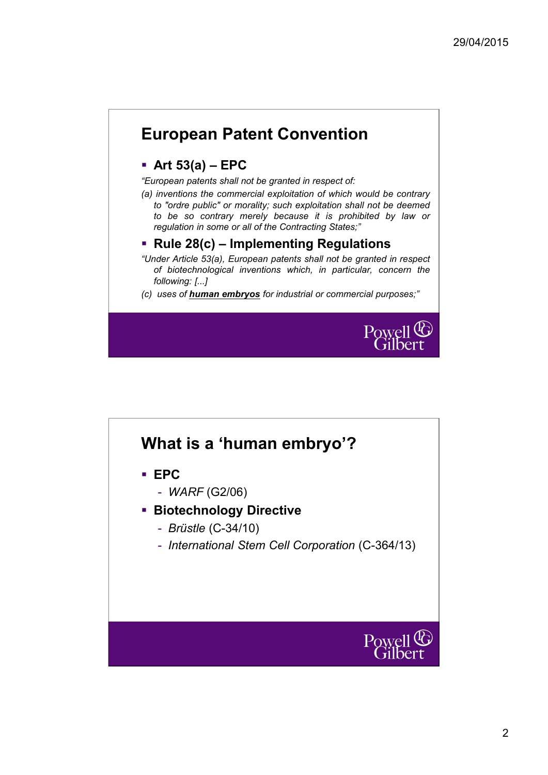# **European Patent Convention**

### **Art 53(a) – EPC**

*"European patents shall not be granted in respect of:*

*(a) inventions the commercial exploitation of which would be contrary to "ordre public" or morality; such exploitation shall not be deemed to be so contrary merely because it is prohibited by law or regulation in some or all of the Contracting States;"*

#### **Rule 28(c) – Implementing Regulations**

- *"Under Article 53(a), European patents shall not be granted in respect of biotechnological inventions which, in particular, concern the following: [...]*
- *(c) uses of human embryos for industrial or commercial purposes;"*



# **What is a 'human embryo'?**

- **EPC**
	- *WARF* (G2/06)
- **Biotechnology Directive** 
	- *Brüstle* (C-34/10)
	- *International Stem Cell Corporation* (C-364/13)

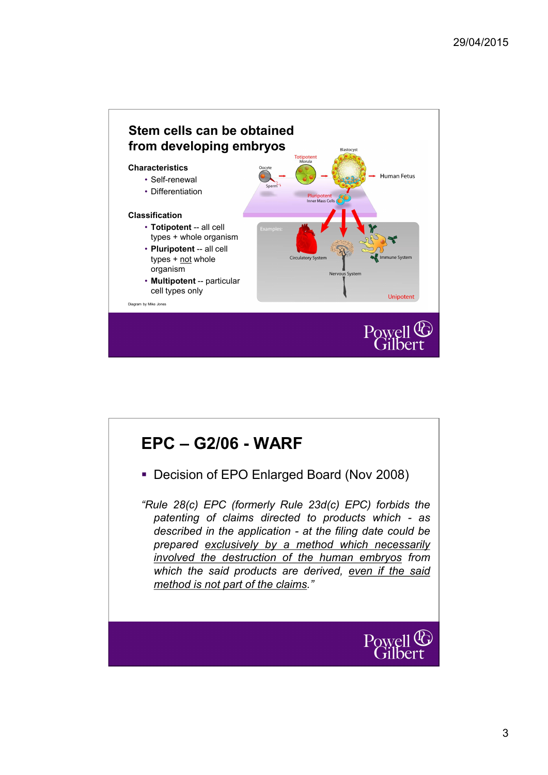

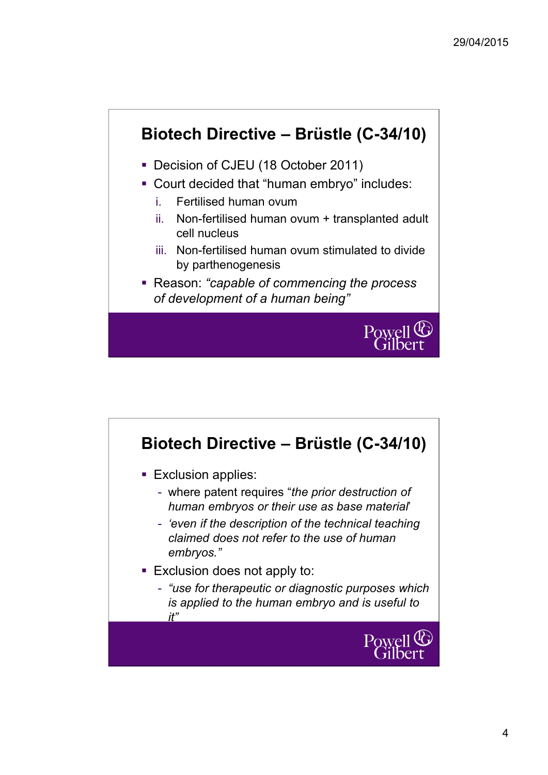# **Biotech Directive – Brüstle (C-34/10)**

- Decision of CJEU (18 October 2011)
- Court decided that "human embryo" includes:
	- i. Fertilised human ovum
	- ii. Non-fertilised human ovum + transplanted adult cell nucleus
	- iii. Non-fertilised human ovum stimulated to divide by parthenogenesis
- Reason: *"capable of commencing the process of development of a human being"*



# **Biotech Directive – Brüstle (C-34/10) Exclusion applies:** - where patent requires "*the prior destruction of human embryos or their use as base material*' - *'even if the description of the technical teaching claimed does not refer to the use of human embryos."* **Exclusion does not apply to:** - *"use for therapeutic or diagnostic purposes which is applied to the human embryo and is useful to it"*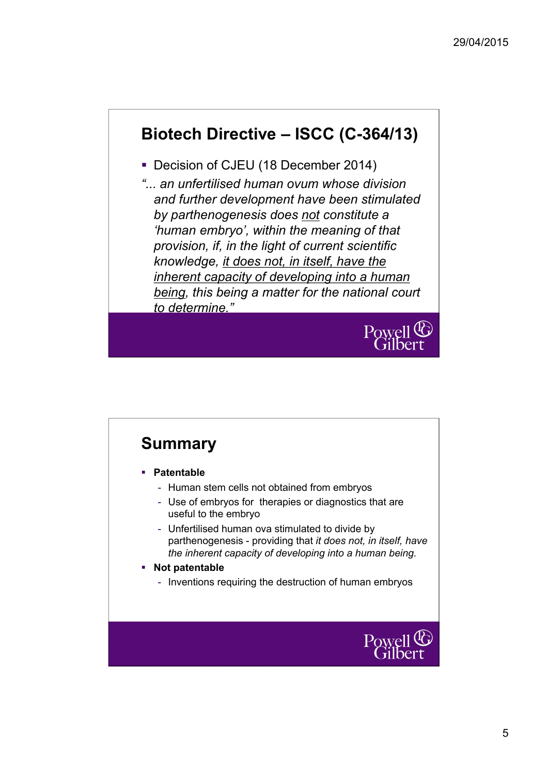# **Biotech Directive – ISCC (C-364/13)**

- Decision of CJEU (18 December 2014)
- *"... an unfertilised human ovum whose division and further development have been stimulated by parthenogenesis does not constitute a 'human embryo', within the meaning of that provision, if, in the light of current scientific knowledge, it does not, in itself, have the inherent capacity of developing into a human being, this being a matter for the national court to determine."*



# **Summary**

- **Patentable**
	- Human stem cells not obtained from embryos
	- Use of embryos for therapies or diagnostics that are useful to the embryo
	- Unfertilised human ova stimulated to divide by parthenogenesis - providing that *it does not, in itself, have the inherent capacity of developing into a human being.*
- **Not patentable**
	- Inventions requiring the destruction of human embryos